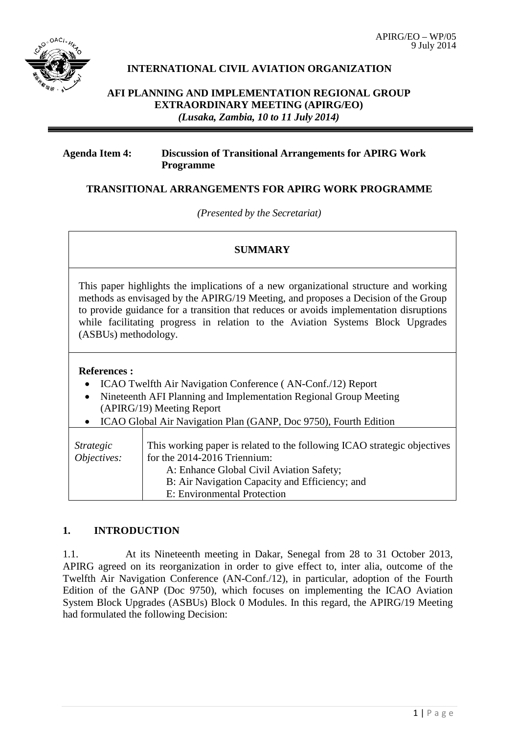

# **INTERNATIONAL CIVIL AVIATION ORGANIZATION**

**AFI PLANNING AND IMPLEMENTATION REGIONAL GROUP EXTRAORDINARY MEETING (APIRG/EO)** *(Lusaka, Zambia, 10 to 11 July 2014)*

#### **Agenda Item 4: Discussion of Transitional Arrangements for APIRG Work Programme**

## **TRANSITIONAL ARRANGEMENTS FOR APIRG WORK PROGRAMME**

*(Presented by the Secretariat)*

#### **SUMMARY**

This paper highlights the implications of a new organizational structure and working methods as envisaged by the APIRG/19 Meeting, and proposes a Decision of the Group to provide guidance for a transition that reduces or avoids implementation disruptions while facilitating progress in relation to the Aviation Systems Block Upgrades (ASBUs) methodology.

#### **References :**

- ICAO Twelfth Air Navigation Conference (AN-Conf./12) Report
- Nineteenth AFI Planning and Implementation Regional Group Meeting (APIRG/19) Meeting Report
- ICAO Global Air Navigation Plan (GANP, Doc 9750), Fourth Edition

| Strategic<br>Objectives: | This working paper is related to the following ICAO strategic objectives<br>for the 2014-2016 Triennium:<br>A: Enhance Global Civil Aviation Safety;<br>B: Air Navigation Capacity and Efficiency; and<br>E: Environmental Protection |
|--------------------------|---------------------------------------------------------------------------------------------------------------------------------------------------------------------------------------------------------------------------------------|
|--------------------------|---------------------------------------------------------------------------------------------------------------------------------------------------------------------------------------------------------------------------------------|

# **1. INTRODUCTION**

1.1. At its Nineteenth meeting in Dakar, Senegal from 28 to 31 October 2013, APIRG agreed on its reorganization in order to give effect to, inter alia, outcome of the Twelfth Air Navigation Conference (AN-Conf./12), in particular, adoption of the Fourth Edition of the GANP (Doc 9750), which focuses on implementing the ICAO Aviation System Block Upgrades (ASBUs) Block 0 Modules. In this regard, the APIRG/19 Meeting had formulated the following Decision: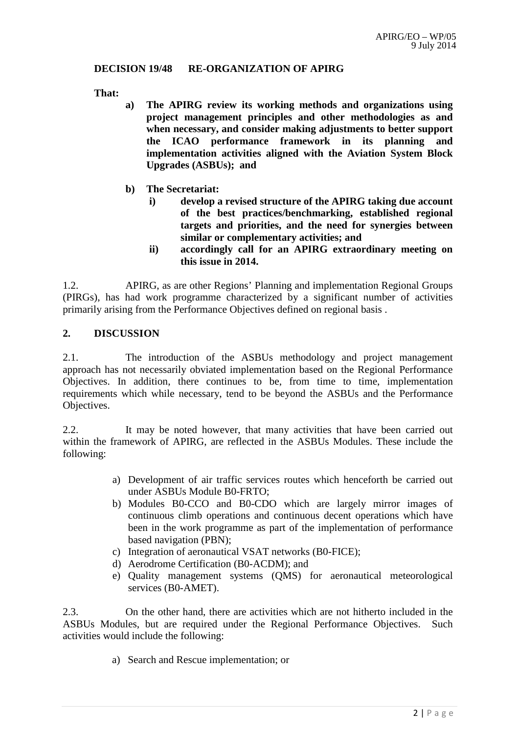## **DECISION 19/48 RE-ORGANIZATION OF APIRG**

**That:**

- **a) The APIRG review its working methods and organizations using project management principles and other methodologies as and when necessary, and consider making adjustments to better support the ICAO performance framework in its planning and implementation activities aligned with the Aviation System Block Upgrades (ASBUs); and**
- **b) The Secretariat:**
	- **i) develop a revised structure of the APIRG taking due account of the best practices/benchmarking, established regional targets and priorities, and the need for synergies between similar or complementary activities; and**
	- **ii) accordingly call for an APIRG extraordinary meeting on this issue in 2014.**

1.2. APIRG, as are other Regions' Planning and implementation Regional Groups (PIRGs), has had work programme characterized by a significant number of activities primarily arising from the Performance Objectives defined on regional basis .

## **2. DISCUSSION**

2.1. The introduction of the ASBUs methodology and project management approach has not necessarily obviated implementation based on the Regional Performance Objectives. In addition, there continues to be, from time to time, implementation requirements which while necessary, tend to be beyond the ASBUs and the Performance Objectives.

2.2. It may be noted however, that many activities that have been carried out within the framework of APIRG, are reflected in the ASBUs Modules. These include the following:

- a) Development of air traffic services routes which henceforth be carried out under ASBUs Module B0-FRTO;
- b) Modules B0-CCO and B0-CDO which are largely mirror images of continuous climb operations and continuous decent operations which have been in the work programme as part of the implementation of performance based navigation (PBN);
- c) Integration of aeronautical VSAT networks (B0-FICE);
- d) Aerodrome Certification (B0-ACDM); and
- e) Quality management systems (QMS) for aeronautical meteorological services (B0-AMET).

2.3. On the other hand, there are activities which are not hitherto included in the ASBUs Modules, but are required under the Regional Performance Objectives. Such activities would include the following:

a) Search and Rescue implementation; or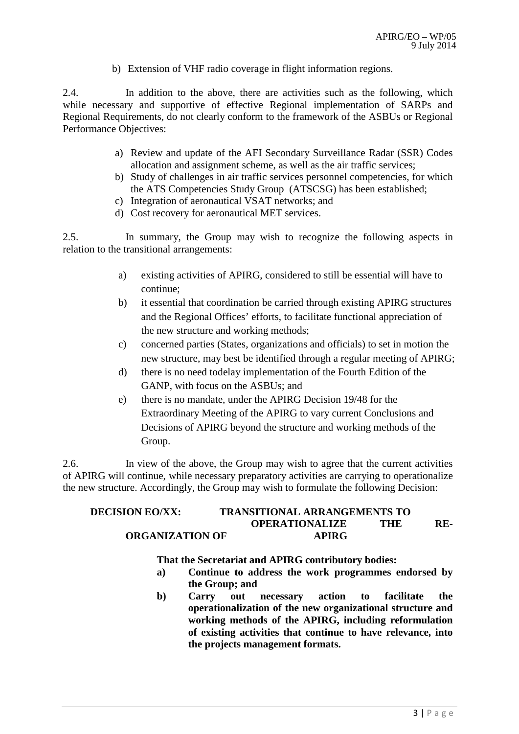b) Extension of VHF radio coverage in flight information regions.

2.4. In addition to the above, there are activities such as the following, which while necessary and supportive of effective Regional implementation of SARPs and Regional Requirements, do not clearly conform to the framework of the ASBUs or Regional Performance Objectives:

- a) Review and update of the AFI Secondary Surveillance Radar (SSR) Codes allocation and assignment scheme, as well as the air traffic services;
- b) Study of challenges in air traffic services personnel competencies, for which the ATS Competencies Study Group (ATSCSG) has been established;
- c) Integration of aeronautical VSAT networks; and
- d) Cost recovery for aeronautical MET services.

2.5. In summary, the Group may wish to recognize the following aspects in relation to the transitional arrangements:

- a) existing activities of APIRG, considered to still be essential will have to continue;
- b) it essential that coordination be carried through existing APIRG structures and the Regional Offices' efforts, to facilitate functional appreciation of the new structure and working methods;
- c) concerned parties (States, organizations and officials) to set in motion the new structure, may best be identified through a regular meeting of APIRG;
- d) there is no need todelay implementation of the Fourth Edition of the GANP, with focus on the ASBUs; and
- e) there is no mandate, under the APIRG Decision 19/48 for the Extraordinary Meeting of the APIRG to vary current Conclusions and Decisions of APIRG beyond the structure and working methods of the Group.

2.6. In view of the above, the Group may wish to agree that the current activities of APIRG will continue, while necessary preparatory activities are carrying to operationalize the new structure. Accordingly, the Group may wish to formulate the following Decision:

## **DECISION EO/XX: TRANSITIONAL ARRANGEMENTS TO OPERATIONALIZE THE RE-ORGANIZATION OF APIRG**

#### **That the Secretariat and APIRG contributory bodies:**

- **a) Continue to address the work programmes endorsed by the Group; and**
- **b) Carry out necessary action to facilitate the operationalization of the new organizational structure and working methods of the APIRG, including reformulation of existing activities that continue to have relevance, into the projects management formats.**